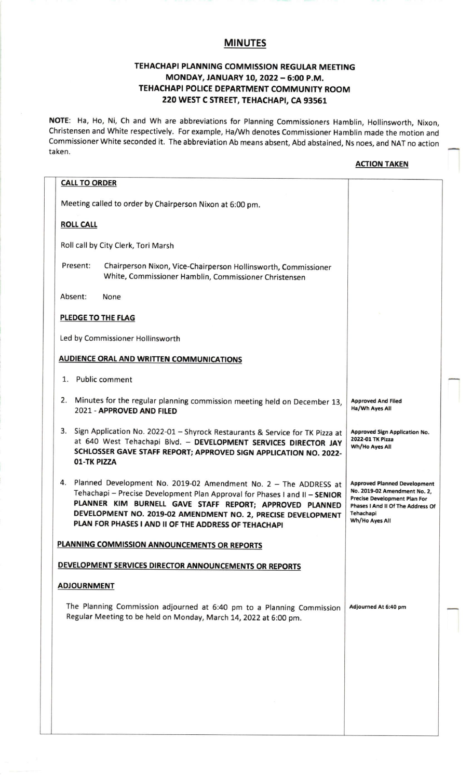## MINUTES

## TEHACHAPI PLANNING COMMISSION REGULAR MEETING MONDAY, JANUARY 10, 2022 - 6:00 P.M. TEHACHAPI POLICE DEPARTMENT COMMUNITY ROOM 220 WEST C STREET, TEHACHAPI, CA 93561

NOTE: Ha, Ho, Ni, Ch and Wh are abbreviations for Planning Commissioners Hamblin, Hollinsworth, Nixon, Christensen and White respectively. For example, Ha/ Wh denotes Commissioner Hamblin made the motion and Commissioner White seconded it. The abbreviation Ab means absent, Abd abstained, Ns noes, and NAT no action taken.

## **ACTION TAKEN**

| <b>CALL TO ORDER</b>                                                                                                                                                                                                                                                                                                                 |                                                                                                                                                                                |
|--------------------------------------------------------------------------------------------------------------------------------------------------------------------------------------------------------------------------------------------------------------------------------------------------------------------------------------|--------------------------------------------------------------------------------------------------------------------------------------------------------------------------------|
| Meeting called to order by Chairperson Nixon at 6:00 pm.                                                                                                                                                                                                                                                                             |                                                                                                                                                                                |
| <b>ROLL CALL</b>                                                                                                                                                                                                                                                                                                                     |                                                                                                                                                                                |
| Roll call by City Clerk, Tori Marsh                                                                                                                                                                                                                                                                                                  |                                                                                                                                                                                |
| Present:<br>Chairperson Nixon, Vice-Chairperson Hollinsworth, Commissioner<br>White, Commissioner Hamblin, Commissioner Christensen                                                                                                                                                                                                  |                                                                                                                                                                                |
| Absent:<br>None                                                                                                                                                                                                                                                                                                                      |                                                                                                                                                                                |
| PLEDGE TO THE FLAG                                                                                                                                                                                                                                                                                                                   |                                                                                                                                                                                |
| Led by Commissioner Hollinsworth                                                                                                                                                                                                                                                                                                     |                                                                                                                                                                                |
| <b>AUDIENCE ORAL AND WRITTEN COMMUNICATIONS</b>                                                                                                                                                                                                                                                                                      |                                                                                                                                                                                |
| 1. Public comment                                                                                                                                                                                                                                                                                                                    |                                                                                                                                                                                |
| 2.<br>Minutes for the regular planning commission meeting held on December 13,<br>2021 - APPROVED AND FILED                                                                                                                                                                                                                          | <b>Approved And Filed</b><br>Ha/Wh Ayes All                                                                                                                                    |
| 3. Sign Application No. 2022-01 - Shyrock Restaurants & Service for TK Pizza at<br>at 640 West Tehachapi Blvd. - DEVELOPMENT SERVICES DIRECTOR JAY<br>SCHLOSSER GAVE STAFF REPORT; APPROVED SIGN APPLICATION NO. 2022-<br>01-TK PIZZA                                                                                                | <b>Approved Sign Application No.</b><br>2022-01 TK Pizza<br>Wh/Ho Ayes All                                                                                                     |
| 4. Planned Development No. 2019-02 Amendment No. 2 - The ADDRESS at<br>Tehachapi - Precise Development Plan Approval for Phases I and II - SENIOR<br>PLANNER KIM BURNELL GAVE STAFF REPORT; APPROVED PLANNED<br>DEVELOPMENT NO. 2019-02 AMENDMENT NO. 2, PRECISE DEVELOPMENT<br>PLAN FOR PHASES I AND II OF THE ADDRESS OF TEHACHAPI | <b>Approved Planned Development</b><br>No. 2019-02 Amendment No. 2,<br><b>Precise Development Plan For</b><br>Phases I And II Of The Address Of<br>Tehachapi<br>Wh/Ho Ayes All |
| PLANNING COMMISSION ANNOUNCEMENTS OR REPORTS                                                                                                                                                                                                                                                                                         |                                                                                                                                                                                |
| DEVELOPMENT SERVICES DIRECTOR ANNOUNCEMENTS OR REPORTS                                                                                                                                                                                                                                                                               |                                                                                                                                                                                |
| <b>ADJOURNMENT</b>                                                                                                                                                                                                                                                                                                                   |                                                                                                                                                                                |
| The Planning Commission adjourned at 6:40 pm to a Planning Commission<br>Regular Meeting to be held on Monday, March 14, 2022 at 6:00 pm.                                                                                                                                                                                            | Adjourned At 6:40 pm                                                                                                                                                           |
|                                                                                                                                                                                                                                                                                                                                      |                                                                                                                                                                                |
|                                                                                                                                                                                                                                                                                                                                      |                                                                                                                                                                                |
|                                                                                                                                                                                                                                                                                                                                      |                                                                                                                                                                                |
|                                                                                                                                                                                                                                                                                                                                      |                                                                                                                                                                                |
|                                                                                                                                                                                                                                                                                                                                      |                                                                                                                                                                                |
|                                                                                                                                                                                                                                                                                                                                      |                                                                                                                                                                                |